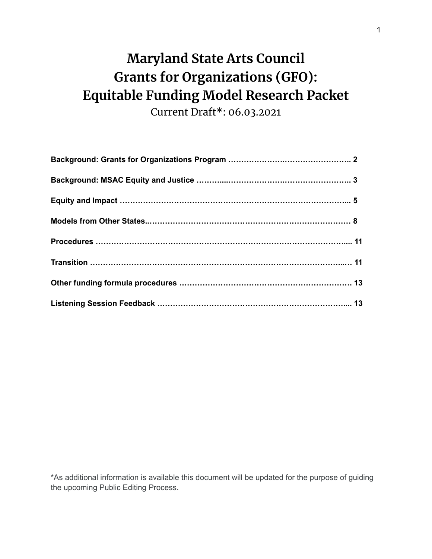# **Maryland State Arts Council Grants for Organizations (GFO): Equitable Funding Model Research Packet**

Current Draft\*: 06.03.2021

\*As additional information is available this document will be updated for the purpose of guiding the upcoming Public Editing Process.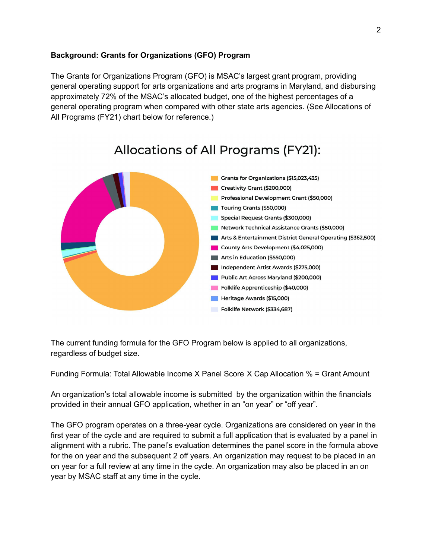#### **Background: Grants for Organizations (GFO) Program**

The Grants for Organizations Program (GFO) is MSAC's largest grant program, providing general operating support for arts organizations and arts programs in Maryland, and disbursing approximately 72% of the MSAC's allocated budget, one of the highest percentages of a general operating program when compared with other state arts agencies. (See Allocations of All Programs (FY21) chart below for reference.)



# Allocations of All Programs (FY21):

The current funding formula for the GFO Program below is applied to all organizations, regardless of budget size.

Funding Formula: Total Allowable Income X Panel Score X Cap Allocation % = Grant Amount

An organization's total allowable income is submitted by the organization within the financials provided in their annual GFO application, whether in an "on year" or "off year".

The GFO program operates on a three-year cycle. Organizations are considered on year in the first year of the cycle and are required to submit a full application that is evaluated by a panel in alignment with a rubric. The panel's evaluation determines the panel score in the formula above for the on year and the subsequent 2 off years. An organization may request to be placed in an on year for a full review at any time in the cycle. An organization may also be placed in an on year by MSAC staff at any time in the cycle.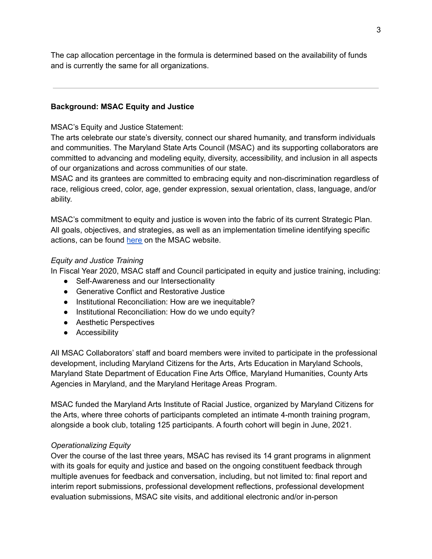The cap allocation percentage in the formula is determined based on the availability of funds and is currently the same for all organizations.

#### **Background: MSAC Equity and Justice**

#### MSAC's Equity and Justice Statement:

The arts celebrate our state's diversity, connect our shared humanity, and transform individuals and communities. The Maryland State Arts Council (MSAC) and its supporting collaborators are committed to advancing and modeling equity, diversity, accessibility, and inclusion in all aspects of our organizations and across communities of our state.

MSAC and its grantees are committed to embracing equity and non-discrimination regardless of race, religious creed, color, age, gender expression, sexual orientation, class, language, and/or ability.

MSAC's commitment to equity and justice is woven into the fabric of its current Strategic Plan. All goals, objectives, and strategies, as well as an implementation timeline identifying specific actions, can be found [here](https://msac.org/about/strategic-plan) on the MSAC website.

#### *Equity and Justice Training*

In Fiscal Year 2020, MSAC staff and Council participated in equity and justice training, including:

- Self-Awareness and our Intersectionality
- Generative Conflict and Restorative Justice
- Institutional Reconciliation: How are we inequitable?
- Institutional Reconciliation: How do we undo equity?
- Aesthetic Perspectives
- Accessibility

All MSAC Collaborators' staff and board members were invited to participate in the professional development, including Maryland Citizens for the Arts, Arts Education in Maryland Schools, Maryland State Department of Education Fine Arts Office, Maryland Humanities, County Arts Agencies in Maryland, and the Maryland Heritage Areas Program.

MSAC funded the Maryland Arts Institute of Racial Justice, organized by Maryland Citizens for the Arts, where three cohorts of participants completed an intimate 4-month training program, alongside a book club, totaling 125 participants. A fourth cohort will begin in June, 2021.

#### *Operationalizing Equity*

Over the course of the last three years, MSAC has revised its 14 grant programs in alignment with its goals for equity and justice and based on the ongoing constituent feedback through multiple avenues for feedback and conversation, including, but not limited to: final report and interim report submissions, professional development reflections, professional development evaluation submissions, MSAC site visits, and additional electronic and/or in-person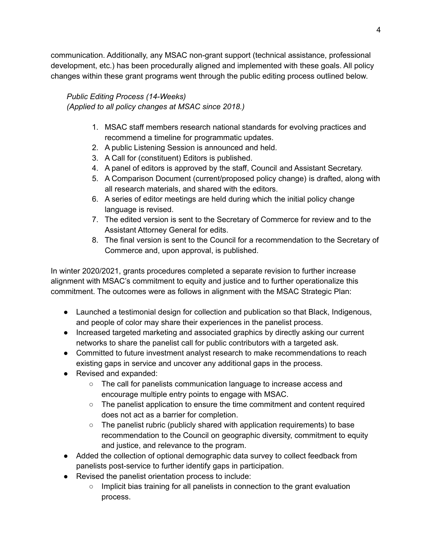communication. Additionally, any MSAC non-grant support (technical assistance, professional development, etc.) has been procedurally aligned and implemented with these goals. All policy changes within these grant programs went through the public editing process outlined below.

# *Public Editing Process (14-Weeks)*

*(Applied to all policy changes at MSAC since 2018.)*

- 1. MSAC staff members research national standards for evolving practices and recommend a timeline for programmatic updates.
- 2. A public Listening Session is announced and held.
- 3. A Call for (constituent) Editors is published.
- 4. A panel of editors is approved by the staff, Council and Assistant Secretary.
- 5. A Comparison Document (current/proposed policy change) is drafted, along with all research materials, and shared with the editors.
- 6. A series of editor meetings are held during which the initial policy change language is revised.
- 7. The edited version is sent to the Secretary of Commerce for review and to the Assistant Attorney General for edits.
- 8. The final version is sent to the Council for a recommendation to the Secretary of Commerce and, upon approval, is published.

In winter 2020/2021, grants procedures completed a separate revision to further increase alignment with MSAC's commitment to equity and justice and to further operationalize this commitment. The outcomes were as follows in alignment with the MSAC Strategic Plan:

- Launched a testimonial design for collection and publication so that Black, Indigenous, and people of color may share their experiences in the panelist process.
- Increased targeted marketing and associated graphics by directly asking our current networks to share the panelist call for public contributors with a targeted ask.
- Committed to future investment analyst research to make recommendations to reach existing gaps in service and uncover any additional gaps in the process.
- Revised and expanded:
	- The call for panelists communication language to increase access and encourage multiple entry points to engage with MSAC.
	- The panelist application to ensure the time commitment and content required does not act as a barrier for completion.
	- $\circ$  The panelist rubric (publicly shared with application requirements) to base recommendation to the Council on geographic diversity, commitment to equity and justice, and relevance to the program.
- Added the collection of optional demographic data survey to collect feedback from panelists post-service to further identify gaps in participation.
- Revised the panelist orientation process to include:
	- Implicit bias training for all panelists in connection to the grant evaluation process.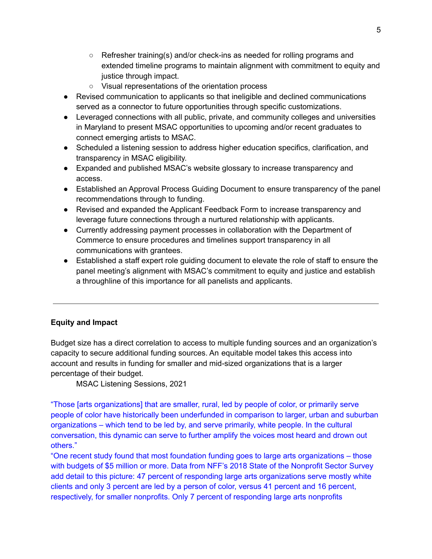- Refresher training(s) and/or check-ins as needed for rolling programs and extended timeline programs to maintain alignment with commitment to equity and justice through impact.
- Visual representations of the orientation process
- Revised communication to applicants so that ineligible and declined communications served as a connector to future opportunities through specific customizations.
- Leveraged connections with all public, private, and community colleges and universities in Maryland to present MSAC opportunities to upcoming and/or recent graduates to connect emerging artists to MSAC.
- Scheduled a listening session to address higher education specifics, clarification, and transparency in MSAC eligibility.
- Expanded and published MSAC's website glossary to increase transparency and access.
- Established an Approval Process Guiding Document to ensure transparency of the panel recommendations through to funding.
- Revised and expanded the Applicant Feedback Form to increase transparency and leverage future connections through a nurtured relationship with applicants.
- Currently addressing payment processes in collaboration with the Department of Commerce to ensure procedures and timelines support transparency in all communications with grantees.
- Established a staff expert role guiding document to elevate the role of staff to ensure the panel meeting's alignment with MSAC's commitment to equity and justice and establish a throughline of this importance for all panelists and applicants.

# **Equity and Impact**

Budget size has a direct correlation to access to multiple funding sources and an organization's capacity to secure additional funding sources. An equitable model takes this access into account and results in funding for smaller and mid-sized organizations that is a larger percentage of their budget.

MSAC Listening Sessions, 2021

"Those [arts organizations] that are smaller, rural, led by people of color, or primarily serve people of color have historically been underfunded in comparison to larger, urban and suburban organizations – which tend to be led by, and serve primarily, white people. In the cultural conversation, this dynamic can serve to further amplify the voices most heard and drown out others."

"One recent study found that most foundation funding goes to large arts organizations – those with budgets of \$5 million or more. Data from NFF's 2018 State of the Nonprofit Sector Survey add detail to this picture: 47 percent of responding large arts organizations serve mostly white clients and only 3 percent are led by a person of color, versus 41 percent and 16 percent, respectively, for smaller nonprofits. Only 7 percent of responding large arts nonprofits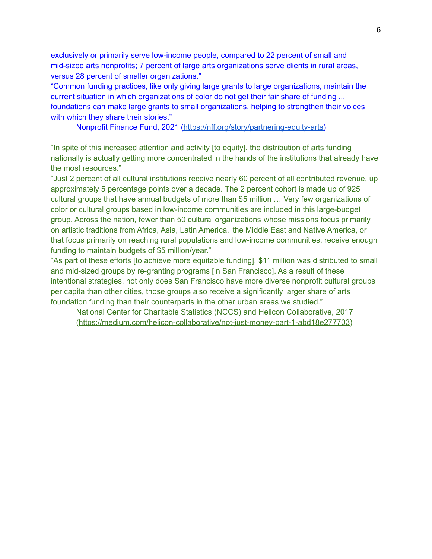exclusively or primarily serve low-income people, compared to 22 percent of small and mid-sized arts nonprofits; 7 percent of large arts organizations serve clients in rural areas, versus 28 percent of smaller organizations."

"Common funding practices, like only giving large grants to large organizations, maintain the current situation in which organizations of color do not get their fair share of funding ... foundations can make large grants to small organizations, helping to strengthen their voices with which they share their stories."

Nonprofit Finance Fund, 2021 [\(https://nff.org/story/partnering-equity-arts\)](https://nff.org/story/partnering-equity-arts)

"In spite of this increased attention and activity [to equity], the distribution of arts funding nationally is actually getting more concentrated in the hands of the institutions that already have the most resources."

"Just 2 percent of all cultural institutions receive nearly 60 percent of all contributed revenue, up approximately 5 percentage points over a decade. The 2 percent cohort is made up of 925 cultural groups that have annual budgets of more than \$5 million … Very few organizations of color or cultural groups based in low-income communities are included in this large-budget group. Across the nation, fewer than 50 cultural organizations whose missions focus primarily on artistic traditions from Africa, Asia, Latin America, the Middle East and Native America, or that focus primarily on reaching rural populations and low-income communities, receive enough funding to maintain budgets of \$5 million/year."

"As part of these efforts [to achieve more equitable funding], \$11 million was distributed to small and mid-sized groups by re-granting programs [in San Francisco]. As a result of these intentional strategies, not only does San Francisco have more diverse nonprofit cultural groups per capita than other cities, those groups also receive a significantly larger share of arts foundation funding than their counterparts in the other urban areas we studied."

National Center for Charitable Statistics (NCCS) and Helicon Collaborative, 2017 ([https://medium.com/helicon-collaborative/not-just-money-part-1-abd18e277703\)](https://medium.com/helicon-collaborative/not-just-money-part-1-abd18e277703)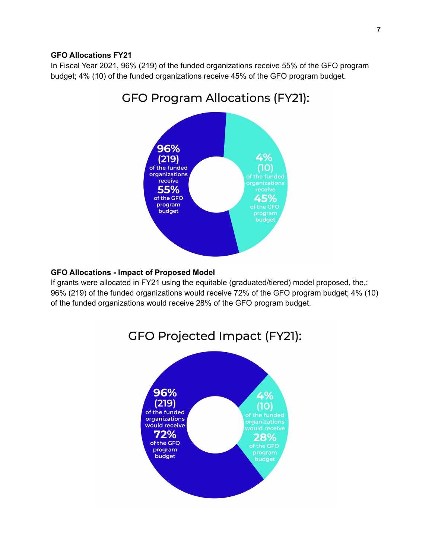#### **GFO Allocations FY21**

In Fiscal Year 2021, 96% (219) of the funded organizations receive 55% of the GFO program budget; 4% (10) of the funded organizations receive 45% of the GFO program budget.



# **GFO Allocations - Impact of Proposed Model**

If grants were allocated in FY21 using the equitable (graduated/tiered) model proposed, the,: 96% (219) of the funded organizations would receive 72% of the GFO program budget; 4% (10) of the funded organizations would receive 28% of the GFO program budget.



# **GFO Program Allocations (FY21):**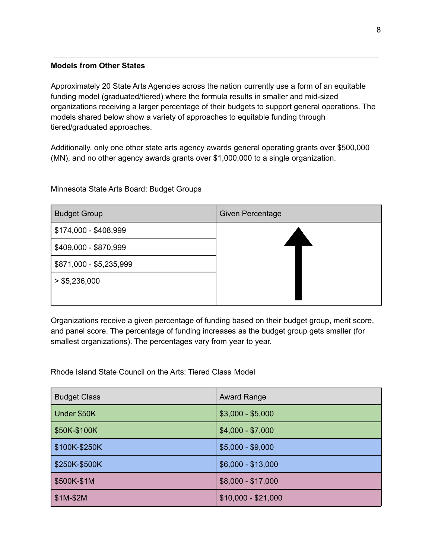#### **Models from Other States**

Approximately 20 State Arts Agencies across the nation currently use a form of an equitable funding model (graduated/tiered) where the formula results in smaller and mid-sized organizations receiving a larger percentage of their budgets to support general operations. The models shared below show a variety of approaches to equitable funding through tiered/graduated approaches.

Additionally, only one other state arts agency awards general operating grants over \$500,000 (MN), and no other agency awards grants over \$1,000,000 to a single organization.

Budget Group Given Percentage \$174,000 - \$408,999 \$409,000 - \$870,999 \$871,000 - \$5,235,999  $>$  \$5,236,000

Organizations receive a given percentage of funding based on their budget group, merit score, and panel score. The percentage of funding increases as the budget group gets smaller (for smallest organizations). The percentages vary from year to year.

Rhode Island State Council on the Arts: Tiered Class Model

| <b>Budget Class</b> | <b>Award Range</b>  |
|---------------------|---------------------|
| Under \$50K         | $$3,000 - $5,000$   |
| \$50K-\$100K        | $$4,000 - $7,000$   |
| \$100K-\$250K       | $$5,000 - $9,000$   |
| \$250K-\$500K       | $$6,000 - $13,000$  |
| \$500K-\$1M         | $$8,000 - $17,000$  |
| \$1M-\$2M           | $$10,000 - $21,000$ |

Minnesota State Arts Board: Budget Groups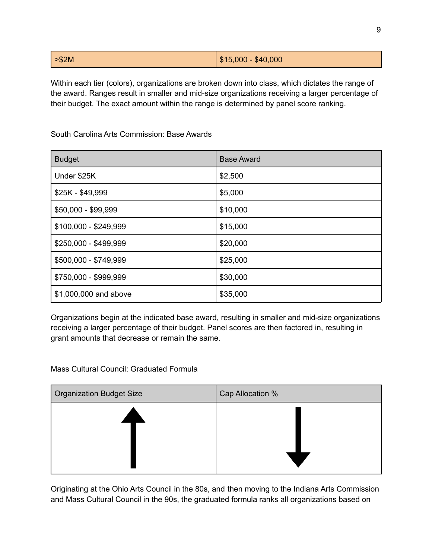Within each tier (colors), organizations are broken down into class, which dictates the range of the award. Ranges result in smaller and mid-size organizations receiving a larger percentage of their budget. The exact amount within the range is determined by panel score ranking.

South Carolina Arts Commission: Base Awards

| <b>Budget</b>         | <b>Base Award</b> |
|-----------------------|-------------------|
| Under \$25K           | \$2,500           |
| \$25K - \$49,999      | \$5,000           |
| \$50,000 - \$99,999   | \$10,000          |
| \$100,000 - \$249,999 | \$15,000          |
| \$250,000 - \$499,999 | \$20,000          |
| \$500,000 - \$749,999 | \$25,000          |
| \$750,000 - \$999,999 | \$30,000          |
| \$1,000,000 and above | \$35,000          |

Organizations begin at the indicated base award, resulting in smaller and mid-size organizations receiving a larger percentage of their budget. Panel scores are then factored in, resulting in grant amounts that decrease or remain the same.

Mass Cultural Council: Graduated Formula

| Cap Allocation % |
|------------------|
|                  |
|                  |
|                  |
|                  |
|                  |

Originating at the Ohio Arts Council in the 80s, and then moving to the Indiana Arts Commission and Mass Cultural Council in the 90s, the graduated formula ranks all organizations based on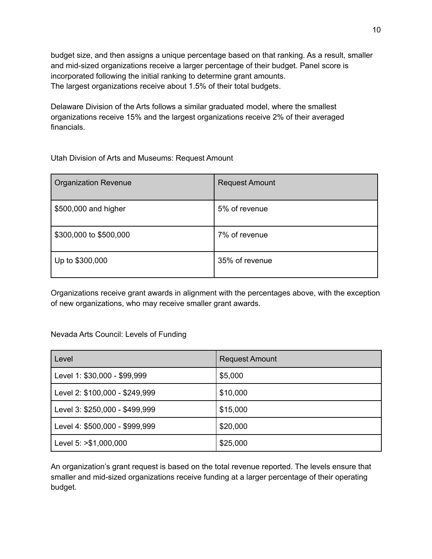budget size, and then assigns a unique percentage based on that ranking. As a result, smaller and mid-sized organizations receive a larger percentage of their budget. Panel score is incorporated following the initial ranking to determine grant amounts. The largest organizations receive about 1.5% of their total budgets.

Delaware Division of the Arts follows a similar graduated model, where the smallest organizations receive 15% and the largest organizations receive 2% of their averaged financials.

Utah Division of Arts and Museums: Request Amount

| <b>Organization Revenue</b> | <b>Request Amount</b> |
|-----------------------------|-----------------------|
| \$500,000 and higher        | 5% of revenue         |
| \$300,000 to \$500,000      | 7% of revenue         |
| Up to \$300,000             | 35% of revenue        |

Organizations receive grant awards in alignment with the percentages above, with the exception of new organizations, who may receive smaller grant awards.

Nevada Arts Council: Levels of Funding

| l Level                        | <b>Request Amount</b> |
|--------------------------------|-----------------------|
| Level 1: \$30,000 - \$99,999   | \$5,000               |
| Level 2: \$100,000 - \$249,999 | \$10,000              |
| Level 3: \$250,000 - \$499,999 | \$15,000              |
| Level 4: \$500,000 - \$999,999 | \$20,000              |
| Level 5: >\$1,000,000          | \$25,000              |

An organization's grant request is based on the total revenue reported. The levels ensure that smaller and mid-sized organizations receive funding at a larger percentage of their operating budget.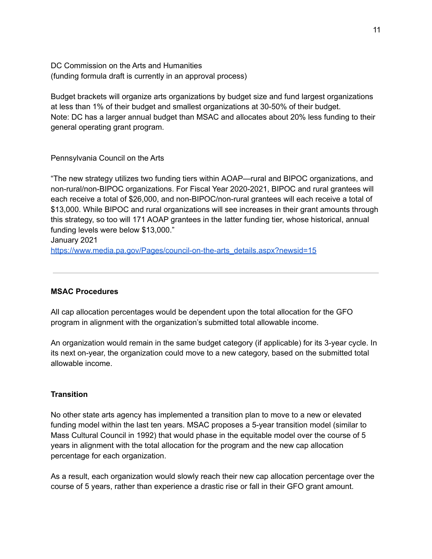DC Commission on the Arts and Humanities (funding formula draft is currently in an approval process)

Budget brackets will organize arts organizations by budget size and fund largest organizations at less than 1% of their budget and smallest organizations at 30-50% of their budget. Note: DC has a larger annual budget than MSAC and allocates about 20% less funding to their general operating grant program.

#### Pennsylvania Council on the Arts

"The new strategy utilizes two funding tiers within AOAP—rural and BIPOC organizations, and non-rural/non-BIPOC organizations. For Fiscal Year 2020-2021, BIPOC and rural grantees will each receive a total of \$26,000, and non-BIPOC/non-rural grantees will each receive a total of \$13,000. While BIPOC and rural organizations will see increases in their grant amounts through this strategy, so too will 171 AOAP grantees in the latter funding tier, whose historical, annual funding levels were below \$13,000." January 2021

[https://www.media.pa.gov/Pages/council-on-the-arts\\_details.aspx?newsid=15](https://www.media.pa.gov/Pages/council-on-the-arts_details.aspx?newsid=15)

# **MSAC Procedures**

All cap allocation percentages would be dependent upon the total allocation for the GFO program in alignment with the organization's submitted total allowable income.

An organization would remain in the same budget category (if applicable) for its 3-year cycle. In its next on-year, the organization could move to a new category, based on the submitted total allowable income.

# **Transition**

No other state arts agency has implemented a transition plan to move to a new or elevated funding model within the last ten years. MSAC proposes a 5-year transition model (similar to Mass Cultural Council in 1992) that would phase in the equitable model over the course of 5 years in alignment with the total allocation for the program and the new cap allocation percentage for each organization.

As a result, each organization would slowly reach their new cap allocation percentage over the course of 5 years, rather than experience a drastic rise or fall in their GFO grant amount.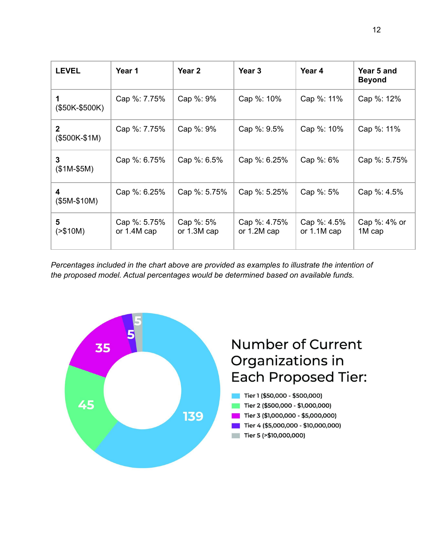| <b>LEVEL</b>                  | Year 1                      | Year 2                   | Year 3                        | Year 4                       | Year 5 and<br><b>Beyond</b> |
|-------------------------------|-----------------------------|--------------------------|-------------------------------|------------------------------|-----------------------------|
| (\$50K-\$500K)                | Cap %: 7.75%                | Cap %: 9%                | Cap %: 10%                    | Cap %: 11%                   | Cap %: 12%                  |
| $\mathbf{2}$<br>$($500K-$1M)$ | Cap %: 7.75%                | Cap %: 9%                | Cap %: 9.5%                   | Cap %: 10%                   | Cap %: 11%                  |
| 3<br>$($1M-$5M)$              | Cap %: 6.75%                | Cap %: 6.5%              | Cap %: 6.25%                  | Cap %: 6%                    | Cap %: 5.75%                |
| 4<br>$($5M-$10M)$             | Cap %: 6.25%                | Cap %: 5.75%             | Cap %: 5.25%                  | Cap %: 5%                    | Cap %: 4.5%                 |
| 5<br>( > \$10M)               | Cap %: 5.75%<br>or 1.4M cap | Cap %: 5%<br>or 1.3M cap | Cap %: 4.75%<br>or $1.2M$ cap | Cap %: 4.5%<br>or $1.1M$ cap | Cap %: 4% or<br>1M cap      |

*Percentages included in the chart above are provided as examples to illustrate the intention of the proposed model. Actual percentages would be determined based on available funds.*

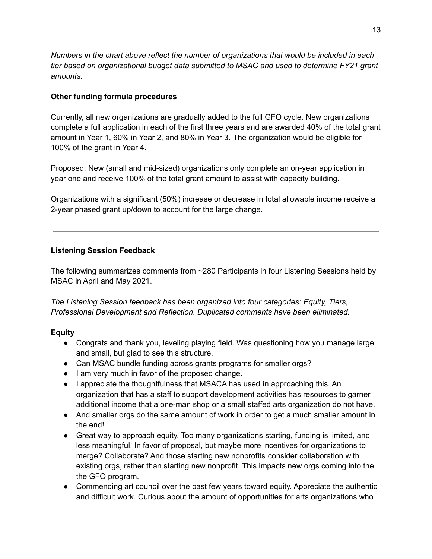*Numbers in the chart above reflect the number of organizations that would be included in each tier based on organizational budget data submitted to MSAC and used to determine FY21 grant amounts.*

# **Other funding formula procedures**

Currently, all new organizations are gradually added to the full GFO cycle. New organizations complete a full application in each of the first three years and are awarded 40% of the total grant amount in Year 1, 60% in Year 2, and 80% in Year 3. The organization would be eligible for 100% of the grant in Year 4.

Proposed: New (small and mid-sized) organizations only complete an on-year application in year one and receive 100% of the total grant amount to assist with capacity building.

Organizations with a significant (50%) increase or decrease in total allowable income receive a 2-year phased grant up/down to account for the large change.

# **Listening Session Feedback**

The following summarizes comments from ~280 Participants in four Listening Sessions held by MSAC in April and May 2021.

*The Listening Session feedback has been organized into four categories: Equity, Tiers, Professional Development and Reflection. Duplicated comments have been eliminated.*

# **Equity**

- Congrats and thank you, leveling playing field. Was questioning how you manage large and small, but glad to see this structure.
- Can MSAC bundle funding across grants programs for smaller orgs?
- I am very much in favor of the proposed change.
- I appreciate the thoughtfulness that MSACA has used in approaching this. An organization that has a staff to support development activities has resources to garner additional income that a one-man shop or a small staffed arts organization do not have.
- And smaller orgs do the same amount of work in order to get a much smaller amount in the end!
- Great way to approach equity. Too many organizations starting, funding is limited, and less meaningful. In favor of proposal, but maybe more incentives for organizations to merge? Collaborate? And those starting new nonprofits consider collaboration with existing orgs, rather than starting new nonprofit. This impacts new orgs coming into the the GFO program.
- Commending art council over the past few years toward equity. Appreciate the authentic and difficult work. Curious about the amount of opportunities for arts organizations who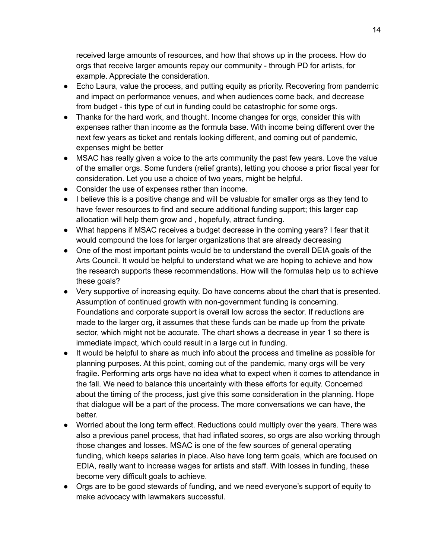received large amounts of resources, and how that shows up in the process. How do orgs that receive larger amounts repay our community - through PD for artists, for example. Appreciate the consideration.

- Echo Laura, value the process, and putting equity as priority. Recovering from pandemic and impact on performance venues, and when audiences come back, and decrease from budget - this type of cut in funding could be catastrophic for some orgs.
- Thanks for the hard work, and thought. Income changes for orgs, consider this with expenses rather than income as the formula base. With income being different over the next few years as ticket and rentals looking different, and coming out of pandemic, expenses might be better
- MSAC has really given a voice to the arts community the past few years. Love the value of the smaller orgs. Some funders (relief grants), letting you choose a prior fiscal year for consideration. Let you use a choice of two years, might be helpful.
- Consider the use of expenses rather than income.
- I believe this is a positive change and will be valuable for smaller orgs as they tend to have fewer resources to find and secure additional funding support; this larger cap allocation will help them grow and , hopefully, attract funding.
- What happens if MSAC receives a budget decrease in the coming years? I fear that it would compound the loss for larger organizations that are already decreasing
- One of the most important points would be to understand the overall DEIA goals of the Arts Council. It would be helpful to understand what we are hoping to achieve and how the research supports these recommendations. How will the formulas help us to achieve these goals?
- Very supportive of increasing equity. Do have concerns about the chart that is presented. Assumption of continued growth with non-government funding is concerning. Foundations and corporate support is overall low across the sector. If reductions are made to the larger org, it assumes that these funds can be made up from the private sector, which might not be accurate. The chart shows a decrease in year 1 so there is immediate impact, which could result in a large cut in funding.
- It would be helpful to share as much info about the process and timeline as possible for planning purposes. At this point, coming out of the pandemic, many orgs will be very fragile. Performing arts orgs have no idea what to expect when it comes to attendance in the fall. We need to balance this uncertainty with these efforts for equity. Concerned about the timing of the process, just give this some consideration in the planning. Hope that dialogue will be a part of the process. The more conversations we can have, the better.
- Worried about the long term effect. Reductions could multiply over the years. There was also a previous panel process, that had inflated scores, so orgs are also working through those changes and losses. MSAC is one of the few sources of general operating funding, which keeps salaries in place. Also have long term goals, which are focused on EDIA, really want to increase wages for artists and staff. With losses in funding, these become very difficult goals to achieve.
- Orgs are to be good stewards of funding, and we need everyone's support of equity to make advocacy with lawmakers successful.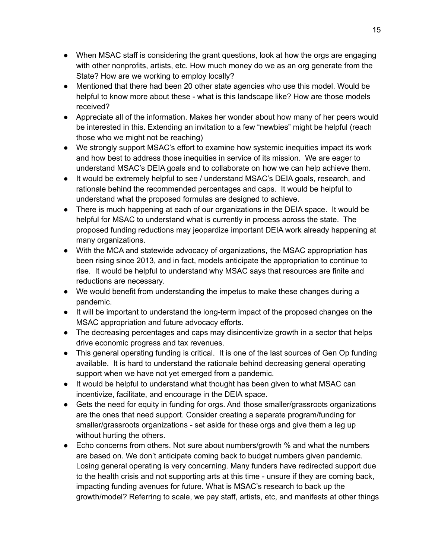- When MSAC staff is considering the grant questions, look at how the orgs are engaging with other nonprofits, artists, etc. How much money do we as an org generate from the State? How are we working to employ locally?
- Mentioned that there had been 20 other state agencies who use this model. Would be helpful to know more about these - what is this landscape like? How are those models received?
- Appreciate all of the information. Makes her wonder about how many of her peers would be interested in this. Extending an invitation to a few "newbies" might be helpful (reach those who we might not be reaching)
- We strongly support MSAC's effort to examine how systemic inequities impact its work and how best to address those inequities in service of its mission. We are eager to understand MSAC's DEIA goals and to collaborate on how we can help achieve them.
- It would be extremely helpful to see / understand MSAC's DEIA goals, research, and rationale behind the recommended percentages and caps. It would be helpful to understand what the proposed formulas are designed to achieve.
- There is much happening at each of our organizations in the DEIA space. It would be helpful for MSAC to understand what is currently in process across the state. The proposed funding reductions may jeopardize important DEIA work already happening at many organizations.
- With the MCA and statewide advocacy of organizations, the MSAC appropriation has been rising since 2013, and in fact, models anticipate the appropriation to continue to rise. It would be helpful to understand why MSAC says that resources are finite and reductions are necessary.
- We would benefit from understanding the impetus to make these changes during a pandemic.
- It will be important to understand the long-term impact of the proposed changes on the MSAC appropriation and future advocacy efforts.
- The decreasing percentages and caps may disincentivize growth in a sector that helps drive economic progress and tax revenues.
- This general operating funding is critical. It is one of the last sources of Gen Op funding available. It is hard to understand the rationale behind decreasing general operating support when we have not yet emerged from a pandemic.
- It would be helpful to understand what thought has been given to what MSAC can incentivize, facilitate, and encourage in the DEIA space.
- Gets the need for equity in funding for orgs. And those smaller/grassroots organizations are the ones that need support. Consider creating a separate program/funding for smaller/grassroots organizations - set aside for these orgs and give them a leg up without hurting the others.
- Echo concerns from others. Not sure about numbers/growth % and what the numbers are based on. We don't anticipate coming back to budget numbers given pandemic. Losing general operating is very concerning. Many funders have redirected support due to the health crisis and not supporting arts at this time - unsure if they are coming back, impacting funding avenues for future. What is MSAC's research to back up the growth/model? Referring to scale, we pay staff, artists, etc, and manifests at other things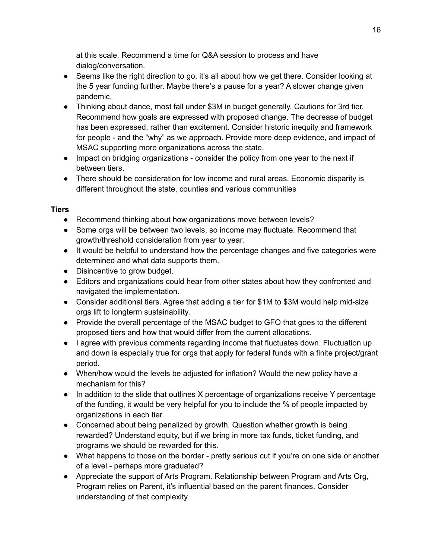at this scale. Recommend a time for Q&A session to process and have dialog/conversation.

- Seems like the right direction to go, it's all about how we get there. Consider looking at the 5 year funding further. Maybe there's a pause for a year? A slower change given pandemic.
- Thinking about dance, most fall under \$3M in budget generally. Cautions for 3rd tier. Recommend how goals are expressed with proposed change. The decrease of budget has been expressed, rather than excitement. Consider historic inequity and framework for people - and the "why" as we approach. Provide more deep evidence, and impact of MSAC supporting more organizations across the state.
- Impact on bridging organizations consider the policy from one year to the next if between tiers.
- There should be consideration for low income and rural areas. Economic disparity is different throughout the state, counties and various communities

# **Tiers**

- Recommend thinking about how organizations move between levels?
- Some orgs will be between two levels, so income may fluctuate. Recommend that growth/threshold consideration from year to year.
- It would be helpful to understand how the percentage changes and five categories were determined and what data supports them.
- Disincentive to grow budget.
- Editors and organizations could hear from other states about how they confronted and navigated the implementation.
- Consider additional tiers. Agree that adding a tier for \$1M to \$3M would help mid-size orgs lift to longterm sustainability.
- Provide the overall percentage of the MSAC budget to GFO that goes to the different proposed tiers and how that would differ from the current allocations.
- I agree with previous comments regarding income that fluctuates down. Fluctuation up and down is especially true for orgs that apply for federal funds with a finite project/grant period.
- When/how would the levels be adjusted for inflation? Would the new policy have a mechanism for this?
- In addition to the slide that outlines X percentage of organizations receive Y percentage of the funding, it would be very helpful for you to include the % of people impacted by organizations in each tier.
- Concerned about being penalized by growth. Question whether growth is being rewarded? Understand equity, but if we bring in more tax funds, ticket funding, and programs we should be rewarded for this.
- What happens to those on the border pretty serious cut if you're on one side or another of a level - perhaps more graduated?
- Appreciate the support of Arts Program. Relationship between Program and Arts Org, Program relies on Parent, it's influential based on the parent finances. Consider understanding of that complexity.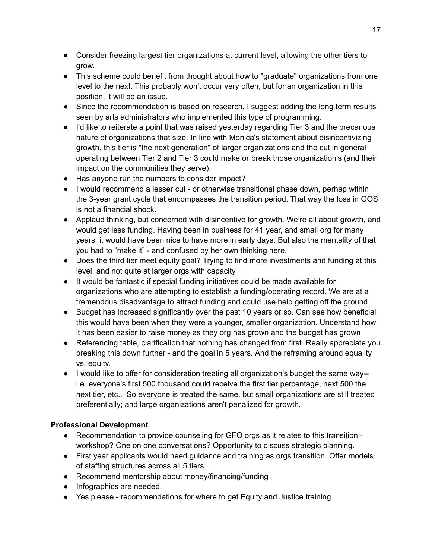- Consider freezing largest tier organizations at current level, allowing the other tiers to grow.
- This scheme could benefit from thought about how to "graduate" organizations from one level to the next. This probably won't occur very often, but for an organization in this position, it will be an issue.
- Since the recommendation is based on research, I suggest adding the long term results seen by arts administrators who implemented this type of programming.
- I'd like to reiterate a point that was raised yesterday regarding Tier 3 and the precarious nature of organizations that size. In line with Monica's statement about disincentivizing growth, this tier is "the next generation" of larger organizations and the cut in general operating between Tier 2 and Tier 3 could make or break those organization's (and their impact on the communities they serve).
- Has anyone run the numbers to consider impact?
- I would recommend a lesser cut or otherwise transitional phase down, perhap within the 3-year grant cycle that encompasses the transition period. That way the loss in GOS is not a financial shock.
- Applaud thinking, but concerned with disincentive for growth. We're all about growth, and would get less funding. Having been in business for 41 year, and small org for many years, it would have been nice to have more in early days. But also the mentality of that you had to "make it" - and confused by her own thinking here.
- Does the third tier meet equity goal? Trying to find more investments and funding at this level, and not quite at larger orgs with capacity.
- It would be fantastic if special funding initiatives could be made available for organizations who are attempting to establish a funding/operating record. We are at a tremendous disadvantage to attract funding and could use help getting off the ground.
- Budget has increased significantly over the past 10 years or so. Can see how beneficial this would have been when they were a younger, smaller organization. Understand how it has been easier to raise money as they org has grown and the budget has grown
- Referencing table, clarification that nothing has changed from first. Really appreciate you breaking this down further - and the goal in 5 years. And the reframing around equality vs. equity.
- I would like to offer for consideration treating all organization's budget the same way- i.e. everyone's first 500 thousand could receive the first tier percentage, next 500 the next tier, etc.. So everyone is treated the same, but small organizations are still treated preferentially; and large organizations aren't penalized for growth.

# **Professional Development**

- Recommendation to provide counseling for GFO orgs as it relates to this transition workshop? One on one conversations? Opportunity to discuss strategic planning.
- First year applicants would need guidance and training as orgs transition. Offer models of staffing structures across all 5 tiers.
- Recommend mentorship about money/financing/funding
- Infographics are needed.
- Yes please recommendations for where to get Equity and Justice training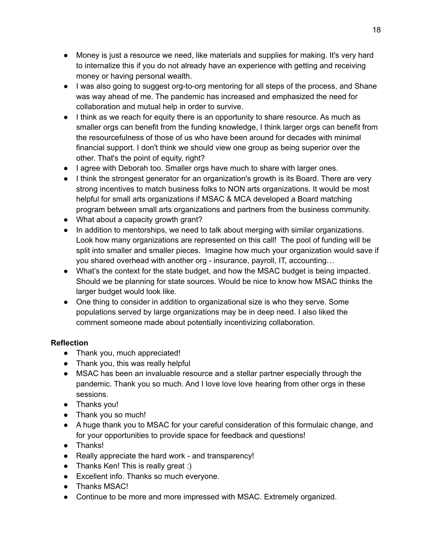- Money is just a resource we need, like materials and supplies for making. It's very hard to internalize this if you do not already have an experience with getting and receiving money or having personal wealth.
- I was also going to suggest org-to-org mentoring for all steps of the process, and Shane was way ahead of me. The pandemic has increased and emphasized the need for collaboration and mutual help in order to survive.
- I think as we reach for equity there is an opportunity to share resource. As much as smaller orgs can benefit from the funding knowledge, I think larger orgs can benefit from the resourcefulness of those of us who have been around for decades with minimal financial support. I don't think we should view one group as being superior over the other. That's the point of equity, right?
- I agree with Deborah too. Smaller orgs have much to share with larger ones.
- I think the strongest generator for an organization's growth is its Board. There are very strong incentives to match business folks to NON arts organizations. It would be most helpful for small arts organizations if MSAC & MCA developed a Board matching program between small arts organizations and partners from the business community.
- What about a capacity growth grant?
- In addition to mentorships, we need to talk about merging with similar organizations. Look how many organizations are represented on this call! The pool of funding will be split into smaller and smaller pieces. Imagine how much your organization would save if you shared overhead with another org - insurance, payroll, IT, accounting…
- What's the context for the state budget, and how the MSAC budget is being impacted. Should we be planning for state sources. Would be nice to know how MSAC thinks the larger budget would look like.
- One thing to consider in addition to organizational size is who they serve. Some populations served by large organizations may be in deep need. I also liked the comment someone made about potentially incentivizing collaboration.

# **Reflection**

- Thank you, much appreciated!
- Thank you, this was really helpful
- MSAC has been an invaluable resource and a stellar partner especially through the pandemic. Thank you so much. And I love love love hearing from other orgs in these sessions.
- Thanks you!
- Thank you so much!
- A huge thank you to MSAC for your careful consideration of this formulaic change, and for your opportunities to provide space for feedback and questions!
- Thanks!
- Really appreciate the hard work and transparency!
- Thanks Ken! This is really great :)
- Excellent info. Thanks so much everyone.
- Thanks MSAC!
- Continue to be more and more impressed with MSAC. Extremely organized.